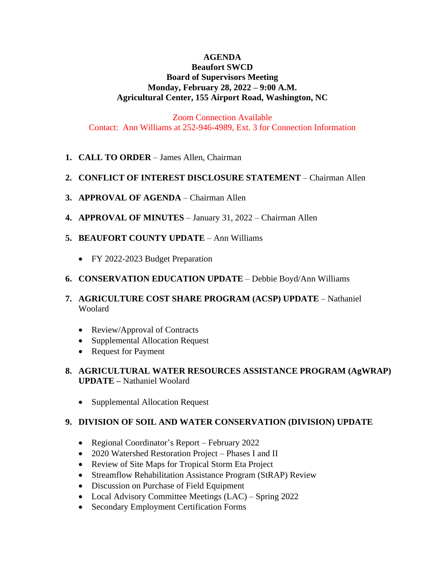### **AGENDA**

### **Beaufort SWCD Board of Supervisors Meeting Monday, February 28, 2022 – 9:00 A.M. Agricultural Center, 155 Airport Road, Washington, NC**

Zoom Connection Available Contact: Ann Williams at 252-946-4989, Ext. 3 for Connection Information

- **1. CALL TO ORDER** James Allen, Chairman
- **2. CONFLICT OF INTEREST DISCLOSURE STATEMENT** Chairman Allen
- **3. APPROVAL OF AGENDA** Chairman Allen
- **4. APPROVAL OF MINUTES** January 31, 2022 Chairman Allen
- **5. BEAUFORT COUNTY UPDATE** Ann Williams
	- FY 2022-2023 Budget Preparation
- **6. CONSERVATION EDUCATION UPDATE** Debbie Boyd/Ann Williams
- **7. AGRICULTURE COST SHARE PROGRAM (ACSP) UPDATE** Nathaniel Woolard
	- Review/Approval of Contracts
	- Supplemental Allocation Request
	- Request for Payment
- **8. AGRICULTURAL WATER RESOURCES ASSISTANCE PROGRAM (AgWRAP) UPDATE –** Nathaniel Woolard
	- Supplemental Allocation Request

#### **9. DIVISION OF SOIL AND WATER CONSERVATION (DIVISION) UPDATE**

- Regional Coordinator's Report February 2022
- 2020 Watershed Restoration Project Phases I and II
- Review of Site Maps for Tropical Storm Eta Project
- Streamflow Rehabilitation Assistance Program (StRAP) Review
- Discussion on Purchase of Field Equipment
- Local Advisory Committee Meetings (LAC) Spring 2022
- Secondary Employment Certification Forms